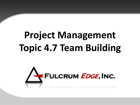# **Project Management Topic 4.7 Team Building**

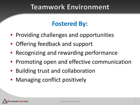#### **Teamwork Environment**

#### **Fostered By:**

- Providing challenges and opportunities
- Offering feedback and support
- Recognizing and rewarding performance
- Promoting open and effective communication
- Building trust and collaboration
- Managing conflict positively

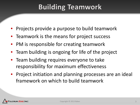## **Building Teamwork**

- Projects provide a purpose to build teamwork
- Teamwork is the means for project success
- PM is responsible for creating teamwork
- Team building is ongoing for life of the project
- Team building requires everyone to take responsibility for maximum effectiveness
- Project initiation and planning processes are an ideal framework on which to build teamwork

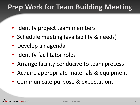#### **Prep Work for Team Building Meeting**

- Identify project team members
- Schedule meeting (availability & needs)
- Develop an agenda
- Identify facilitator roles
- Arrange facility conducive to team process
- Acquire appropriate materials & equipment
- Communicate purpose & expectations

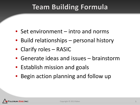## **Team Building Formula**

- Set environment intro and norms
- Build relationships personal history
- Clarify roles RASIC
- Generate ideas and issues brainstorm
- Establish mission and goals
- Begin action planning and follow up

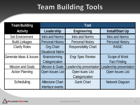## **Team Building Tools**

| <b>Team Building</b>     | Tool                       |                             |                         |
|--------------------------|----------------------------|-----------------------------|-------------------------|
| <b>Activity</b>          | Leadership                 | <b>Engineering</b>          | <b>Install/Start Up</b> |
| <b>Set Environment</b>   | <b>Intro and Norms</b>     | <b>Intro and Norms</b>      | <b>Intro and Norms</b>  |
| <b>Build Linkages</b>    | <b>Personal History</b>    | <b>Personal History</b>     | <b>Personal History</b> |
| <b>Clarify Roles</b>     | <b>Org Chart</b>           | <b>Responsibility Chart</b> | <b>RASIC</b>            |
|                          | <b>Situational Matrix</b>  |                             |                         |
| Generate Ideas & Issues  | <b>Brainstorming</b>       | <b>Engr Spec Review</b>     | Scope of Work           |
|                          | Categorization             |                             | <b>Fact Finding</b>     |
| <b>Mission and Goals</b> | <b>Mission &amp; Goals</b> | Leadership presentation     | Leadership presentation |
| <b>Action Planning</b>   | Open Issues List           | Open Isues List             | Open Issues List        |
|                          |                            | Categorization              |                         |
| Scheduling               | <b>Milestone Chart</b>     | <b>Gantt Chart</b>          | <b>Network Diagram</b>  |
|                          | Interface events           |                             |                         |

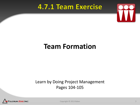#### 4.7.1 Team Exercise



#### **Team Formation**

#### Learn by Doing Project Management Pages 104-105



Copyright © 2013 Baker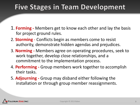#### Five Stages in Team Development

- 1. **Forming -** Members get to know each other and lay the basis for project ground rules.
- 2. **Storming**  Conflicts begin as members come to resist authority, demonstrate hidden agendas and prejudices.
- 3. **Norming -** Members agree on operating procedures, seek to work together, develop close relationships, and a commitment to the implementation process.
- 4. **Performing -** Group members work together to accomplish their tasks.
- 5. **Adjourning -** Group may disband either following the installation or through group member reassignments.